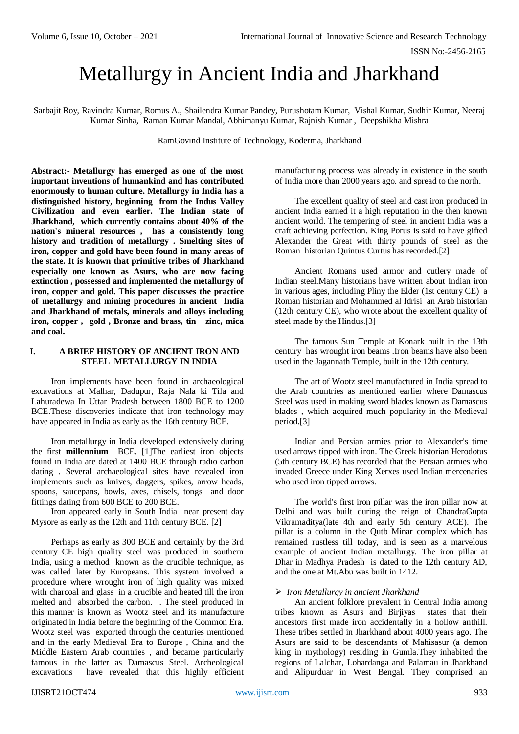# Metallurgy in Ancient India and Jharkhand

Sarbajit Roy, Ravindra Kumar, Romus A., Shailendra Kumar Pandey, Purushotam Kumar, Vishal Kumar, Sudhir Kumar, Neeraj Kumar Sinha, Raman Kumar Mandal, Abhimanyu Kumar, Rajnish Kumar , Deepshikha Mishra

RamGovind Institute of Technology, Koderma, Jharkhand

**Abstract:- Metallurgy has emerged as one of the most important inventions of humankind and has contributed enormously to human culture. Metallurgy in India has a distinguished history, beginning from the Indus Valley Civilization and even earlier. The Indian state of Jharkhand, which currently contains about 40% of the nation's mineral resources , has a consistently long history and tradition of metallurgy . Smelting sites of iron, copper and gold have been found in many areas of the state. It is known that primitive tribes of Jharkhand especially one known as Asurs, who are now facing extinction , possessed and implemented the metallurgy of iron, copper and gold. This paper discusses the practice of metallurgy and mining procedures in ancient India and Jharkhand of metals, minerals and alloys including iron, copper , gold , Bronze and brass, tin zinc, mica and coal.** 

## **I. A BRIEF HISTORY OF ANCIENT IRON AND STEEL METALLURGY IN INDIA**

Iron implements have been found in archaeological excavations at Malhar, Dadupur, Raja Nala ki Tila and Lahuradewa In Uttar Pradesh between 1800 BCE to 1200 BCE.These discoveries indicate that iron technology may have appeared in India as early as the 16th century BCE.

Iron metallurgy in India developed extensively during the first **millennium** BCE. [1]The earliest iron objects found in India are dated at 1400 BCE through radio carbon dating . Several archaeological sites have revealed iron implements such as knives, daggers, spikes, arrow heads, spoons, saucepans, bowls, axes, chisels, tongs and door fittings dating from 600 BCE to 200 BCE.

Iron appeared early in South India near present day Mysore as early as the 12th and 11th century BCE. [2]

Perhaps as early as 300 BCE and certainly by the 3rd century CE high quality steel was produced in southern India, using a method known as the crucible technique, as was called later by Europeans. This system involved a procedure where wrought iron of high quality was mixed with charcoal and glass in a crucible and heated till the iron melted and absorbed the carbon. . The steel produced in this manner is known as Wootz steel and its manufacture originated in India before the beginning of the Common Era. Wootz steel was exported through the centuries mentioned and in the early Medieval Era to Europe , China and the Middle Eastern Arab countries , and became particularly famous in the latter as Damascus Steel. Archeological excavations have revealed that this highly efficient

manufacturing process was already in existence in the south of India more than 2000 years ago. and spread to the north.

The excellent quality of steel and cast iron produced in ancient India earned it a high reputation in the then known ancient world. The tempering of steel in ancient India was a craft achieving perfection. King Porus is said to have gifted Alexander the Great with thirty pounds of steel as the Roman historian Quintus Curtus has recorded.[2]

Ancient Romans used armor and cutlery made of Indian steel.Many historians have written about Indian iron in various ages, including Pliny the Elder (1st century CE) a Roman historian and Mohammed al Idrisi an Arab historian (12th century CE), who wrote about the excellent quality of steel made by the Hindus.[3]

The famous Sun Temple at Konark built in the 13th century has wrought iron beams .Iron beams have also been used in the Jagannath Temple, built in the 12th century.

The art of Wootz steel manufactured in India spread to the Arab countries as mentioned earlier where Damascus Steel was used in making sword blades known as Damascus blades , which acquired much popularity in the Medieval period.[3]

Indian and Persian armies prior to Alexander's time used arrows tipped with iron. The Greek historian Herodotus (5th century BCE) has recorded that the Persian armies who invaded Greece under King Xerxes used Indian mercenaries who used iron tipped arrows.

The world's first iron pillar was the iron pillar now at Delhi and was built during the reign of ChandraGupta Vikramaditya(late 4th and early 5th century ACE). The pillar is a column in the Qutb Minar complex which has remained rustless till today, and is seen as a marvelous example of ancient Indian metallurgy. The iron pillar at Dhar in Madhya Pradesh is dated to the 12th century AD, and the one at Mt.Abu was built in 1412.

#### *Iron Metallurgy in ancient Jharkhand*

An ancient folklore prevalent in Central India among tribes known as Asurs and Birjiyas states that their ancestors first made iron accidentally in a hollow anthill. These tribes settled in Jharkhand about 4000 years ago. The Asurs are said to be descendants of Mahisasur (a demon king in mythology) residing in Gumla.They inhabited the regions of Lalchar, Lohardanga and Palamau in Jharkhand and Alipurduar in West Bengal. They comprised an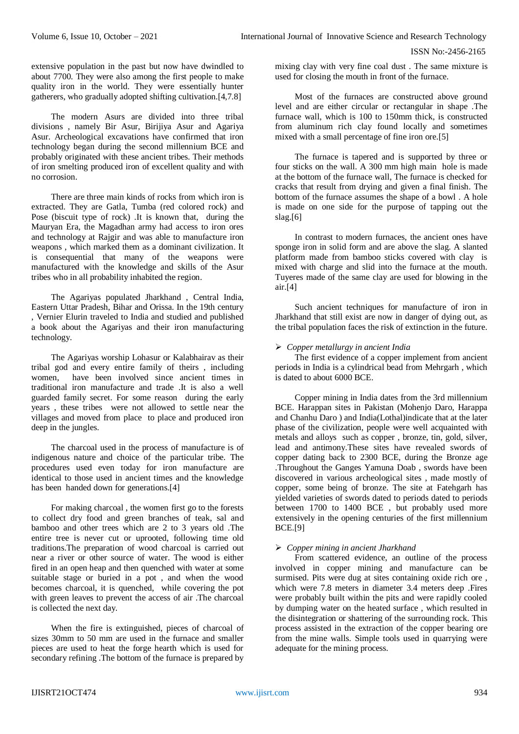extensive population in the past but now have dwindled to about 7700. They were also among the first people to make quality iron in the world. They were essentially hunter gatherers, who gradually adopted shifting cultivation.[4,7.8]

The modern Asurs are divided into three tribal divisions , namely Bir Asur, Birijiya Asur and Agariya Asur. Archeological excavations have confirmed that iron technology began during the second millennium BCE and probably originated with these ancient tribes. Their methods of iron smelting produced iron of excellent quality and with no corrosion.

There are three main kinds of rocks from which iron is extracted. They are Gatla, Tumba (red colored rock) and Pose (biscuit type of rock) .It is known that, during the Mauryan Era, the Magadhan army had access to iron ores and technology at Rajgir and was able to manufacture iron weapons , which marked them as a dominant civilization. It is consequential that many of the weapons were manufactured with the knowledge and skills of the Asur tribes who in all probability inhabited the region.

The Agariyas populated Jharkhand , Central India, Eastern Uttar Pradesh, Bihar and Orissa. In the 19th century , Vernier Elurin traveled to India and studied and published a book about the Agariyas and their iron manufacturing technology.

The Agariyas worship Lohasur or Kalabhairav as their tribal god and every entire family of theirs , including women, have been involved since ancient times in traditional iron manufacture and trade .It is also a well guarded family secret. For some reason during the early years , these tribes were not allowed to settle near the villages and moved from place to place and produced iron deep in the jungles.

The charcoal used in the process of manufacture is of indigenous nature and choice of the particular tribe. The procedures used even today for iron manufacture are identical to those used in ancient times and the knowledge has been handed down for generations.[4]

For making charcoal , the women first go to the forests to collect dry food and green branches of teak, sal and bamboo and other trees which are 2 to 3 years old .The entire tree is never cut or uprooted, following time old traditions.The preparation of wood charcoal is carried out near a river or other source of water. The wood is either fired in an open heap and then quenched with water at some suitable stage or buried in a pot , and when the wood becomes charcoal, it is quenched, while covering the pot with green leaves to prevent the access of air .The charcoal is collected the next day.

When the fire is extinguished, pieces of charcoal of sizes 30mm to 50 mm are used in the furnace and smaller pieces are used to heat the forge hearth which is used for secondary refining .The bottom of the furnace is prepared by

mixing clay with very fine coal dust . The same mixture is used for closing the mouth in front of the furnace.

Most of the furnaces are constructed above ground level and are either circular or rectangular in shape .The furnace wall, which is 100 to 150mm thick, is constructed from aluminum rich clay found locally and sometimes mixed with a small percentage of fine iron ore.[5]

The furnace is tapered and is supported by three or four sticks on the wall. A 300 mm high main hole is made at the bottom of the furnace wall, The furnace is checked for cracks that result from drying and given a final finish. The bottom of the furnace assumes the shape of a bowl . A hole is made on one side for the purpose of tapping out the slag. $[6]$ 

In contrast to modern furnaces, the ancient ones have sponge iron in solid form and are above the slag. A slanted platform made from bamboo sticks covered with clay is mixed with charge and slid into the furnace at the mouth. Tuyeres made of the same clay are used for blowing in the air.[4]

Such ancient techniques for manufacture of iron in Jharkhand that still exist are now in danger of dying out, as the tribal population faces the risk of extinction in the future.

## *Copper metallurgy in ancient India*

The first evidence of a copper implement from ancient periods in India is a cylindrical bead from Mehrgarh , which is dated to about 6000 BCE.

Copper mining in India dates from the 3rd millennium BCE. Harappan sites in Pakistan (Mohenjo Daro, Harappa and Chanhu Daro ) and India(Lothal)indicate that at the later phase of the civilization, people were well acquainted with metals and alloys such as copper , bronze, tin, gold, silver, lead and antimony.These sites have revealed swords of copper dating back to 2300 BCE, during the Bronze age .Throughout the Ganges Yamuna Doab , swords have been discovered in various archeological sites , made mostly of copper, some being of bronze. The site at Fatehgarh has yielded varieties of swords dated to periods dated to periods between 1700 to 1400 BCE , but probably used more extensively in the opening centuries of the first millennium BCE.[9]

## *Copper mining in ancient Jharkhand*

From scattered evidence, an outline of the process involved in copper mining and manufacture can be surmised. Pits were dug at sites containing oxide rich ore, which were 7.8 meters in diameter 3.4 meters deep .Fires were probably built within the pits and were rapidly cooled by dumping water on the heated surface , which resulted in the disintegration or shattering of the surrounding rock. This process assisted in the extraction of the copper bearing ore from the mine walls. Simple tools used in quarrying were adequate for the mining process.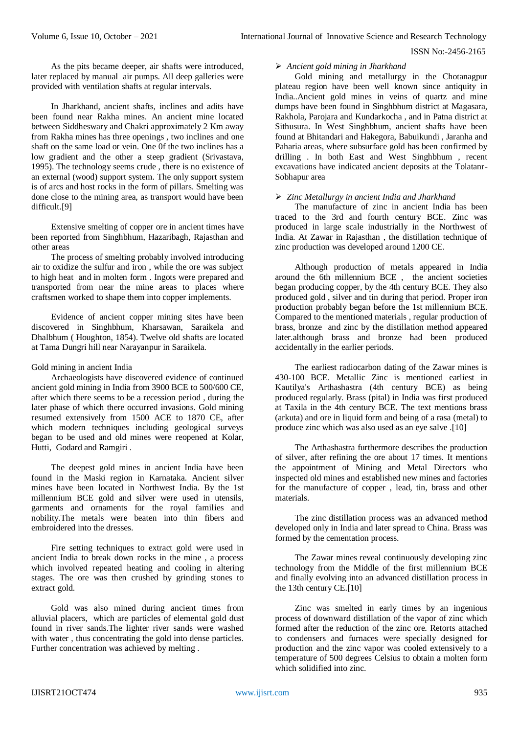#### ISSN No:-2456-2165

As the pits became deeper, air shafts were introduced, later replaced by manual air pumps. All deep galleries were provided with ventilation shafts at regular intervals.

In Jharkhand, ancient shafts, inclines and adits have been found near Rakha mines. An ancient mine located between Siddheswary and Chakri approximately 2 Km away from Rakha mines has three openings , two inclines and one shaft on the same load or vein. One 0f the two inclines has a low gradient and the other a steep gradient (Srivastava, 1995). The technology seems crude , there is no existence of an external (wood) support system. The only support system is of arcs and host rocks in the form of pillars. Smelting was done close to the mining area, as transport would have been difficult.[9]

Extensive smelting of copper ore in ancient times have been reported from Singhbhum, Hazaribagh, Rajasthan and other areas

The process of smelting probably involved introducing air to oxidize the sulfur and iron , while the ore was subject to high heat and in molten form . Ingots were prepared and transported from near the mine areas to places where craftsmen worked to shape them into copper implements.

Evidence of ancient copper mining sites have been discovered in Singhbhum, Kharsawan, Saraikela and Dhalbhum ( Houghton, 1854). Twelve old shafts are located at Tama Dungri hill near Narayanpur in Saraikela.

#### Gold mining in ancient India

Archaeologists have discovered evidence of continued ancient gold mining in India from 3900 BCE to 500/600 CE, after which there seems to be a recession period , during the later phase of which there occurred invasions. Gold mining resumed extensively from 1500 ACE to 1870 CE, after which modern techniques including geological surveys began to be used and old mines were reopened at Kolar, Hutti, Godard and Ramgiri .

The deepest gold mines in ancient India have been found in the Maski region in Karnataka. Ancient silver mines have been located in Northwest India. By the 1st millennium BCE gold and silver were used in utensils, garments and ornaments for the royal families and nobility.The metals were beaten into thin fibers and embroidered into the dresses.

Fire setting techniques to extract gold were used in ancient India to break down rocks in the mine , a process which involved repeated heating and cooling in altering stages. The ore was then crushed by grinding stones to extract gold.

Gold was also mined during ancient times from alluvial placers, which are particles of elemental gold dust found in river sands.The lighter river sands were washed with water, thus concentrating the gold into dense particles. Further concentration was achieved by melting .

#### *Ancient gold mining in Jharkhand*

Gold mining and metallurgy in the Chotanagpur plateau region have been well known since antiquity in India..Ancient gold mines in veins of quartz and mine dumps have been found in Singhbhum district at Magasara, Rakhola, Parojara and Kundarkocha , and in Patna district at Sithusura. In West Singhbhum, ancient shafts have been found at Bhitandari and Hakegora, Babuikundi , Jaranha and Paharia areas, where subsurface gold has been confirmed by drilling . In both East and West Singhbhum , recent excavations have indicated ancient deposits at the Tolatanr-Sobhapur area

#### *Zinc Metallurgy in ancient India and Jharkhand*

The manufacture of zinc in ancient India has been traced to the 3rd and fourth century BCE. Zinc was produced in large scale industrially in the Northwest of India. At Zawar in Rajasthan , the distillation technique of zinc production was developed around 1200 CE.

Although production of metals appeared in India around the 6th millennium BCE , the ancient societies began producing copper, by the 4th century BCE. They also produced gold , silver and tin during that period. Proper iron production probably began before the 1st millennium BCE. Compared to the mentioned materials , regular production of brass, bronze and zinc by the distillation method appeared later.although brass and bronze had been produced accidentally in the earlier periods.

The earliest radiocarbon dating of the Zawar mines is 430-100 BCE. Metallic Zinc is mentioned earliest in Kautilya's Arthashastra (4th century BCE) as being produced regularly. Brass (pital) in India was first produced at Taxila in the 4th century BCE. The text mentions brass (arkuta) and ore in liquid form and being of a rasa (metal) to produce zinc which was also used as an eye salve .[10]

The Arthashastra furthermore describes the production of silver, after refining the ore about 17 times. It mentions the appointment of Mining and Metal Directors who inspected old mines and established new mines and factories for the manufacture of copper , lead, tin, brass and other materials.

The zinc distillation process was an advanced method developed only in India and later spread to China. Brass was formed by the cementation process.

The Zawar mines reveal continuously developing zinc technology from the Middle of the first millennium BCE and finally evolving into an advanced distillation process in the 13th century CE.[10]

Zinc was smelted in early times by an ingenious process of downward distillation of the vapor of zinc which formed after the reduction of the zinc ore. Retorts attached to condensers and furnaces were specially designed for production and the zinc vapor was cooled extensively to a temperature of 500 degrees Celsius to obtain a molten form which solidified into zinc.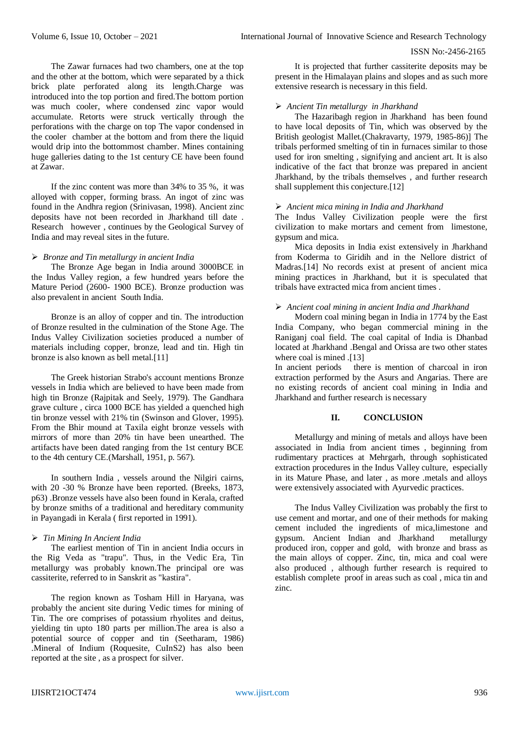## ISSN No:-2456-2165

The Zawar furnaces had two chambers, one at the top and the other at the bottom, which were separated by a thick brick plate perforated along its length.Charge was introduced into the top portion and fired.The bottom portion was much cooler, where condensed zinc vapor would accumulate. Retorts were struck vertically through the perforations with the charge on top The vapor condensed in the cooler chamber at the bottom and from there the liquid would drip into the bottommost chamber. Mines containing huge galleries dating to the 1st century CE have been found at Zawar.

If the zinc content was more than 34% to 35 %, it was alloyed with copper, forming brass. An ingot of zinc was found in the Andhra region (Srinivasan, 1998). Ancient zinc deposits have not been recorded in Jharkhand till date . Research however , continues by the Geological Survey of India and may reveal sites in the future.

#### *Bronze and Tin metallurgy in ancient India*

The Bronze Age began in India around 3000BCE in the Indus Valley region, a few hundred years before the Mature Period (2600- 1900 BCE). Bronze production was also prevalent in ancient South India.

Bronze is an alloy of copper and tin. The introduction of Bronze resulted in the culmination of the Stone Age. The Indus Valley Civilization societies produced a number of materials including copper, bronze, lead and tin. High tin bronze is also known as bell metal.[11]

The Greek historian Strabo's account mentions Bronze vessels in India which are believed to have been made from high tin Bronze (Rajpitak and Seely, 1979). The Gandhara grave culture , circa 1000 BCE has yielded a quenched high tin bronze vessel with 21% tin (Swinson and Glover, 1995). From the Bhir mound at Taxila eight bronze vessels with mirrors of more than 20% tin have been unearthed. The artifacts have been dated ranging from the 1st century BCE to the 4th century CE.(Marshall, 1951, p. 567).

In southern India , vessels around the Nilgiri cairns, with 20 -30 % Bronze have been reported. (Breeks, 1873, p63) .Bronze vessels have also been found in Kerala, crafted by bronze smiths of a traditional and hereditary community in Payangadi in Kerala ( first reported in 1991).

## *Tin Mining In Ancient India*

The earliest mention of Tin in ancient India occurs in the Rig Veda as "trapu". Thus, in the Vedic Era, Tin metallurgy was probably known.The principal ore was cassiterite, referred to in Sanskrit as "kastira".

The region known as Tosham Hill in Haryana, was probably the ancient site during Vedic times for mining of Tin. The ore comprises of potassium rhyolites and deitus, yielding tin upto 180 parts per million.The area is also a potential source of copper and tin (Seetharam, 1986) .Mineral of Indium (Roquesite, CuInS2) has also been reported at the site , as a prospect for silver.

It is projected that further cassiterite deposits may be present in the Himalayan plains and slopes and as such more extensive research is necessary in this field.

#### *Ancient Tin metallurgy in Jharkhand*

The Hazaribagh region in Jharkhand has been found to have local deposits of Tin, which was observed by the British geologist Mallet.(Chakravarty, 1979, 1985-86)] The tribals performed smelting of tin in furnaces similar to those used for iron smelting , signifying and ancient art. It is also indicative of the fact that bronze was prepared in ancient Jharkhand, by the tribals themselves , and further research shall supplement this conjecture.<sup>[12]</sup>

#### *Ancient mica mining in India and Jharkhand*

The Indus Valley Civilization people were the first civilization to make mortars and cement from limestone, gypsum and mica.

Mica deposits in India exist extensively in Jharkhand from Koderma to Giridih and in the Nellore district of Madras.[14] No records exist at present of ancient mica mining practices in Jharkhand, but it is speculated that tribals have extracted mica from ancient times .

## *Ancient coal mining in ancient India and Jharkhand*

Modern coal mining began in India in 1774 by the East India Company, who began commercial mining in the Raniganj coal field. The coal capital of India is Dhanbad located at Jharkhand .Bengal and Orissa are two other states where coal is mined .[13]

In ancient periods there is mention of charcoal in iron extraction performed by the Asurs and Angarias. There are no existing records of ancient coal mining in India and Jharkhand and further research is necessary

## **II. CONCLUSION**

Metallurgy and mining of metals and alloys have been associated in India from ancient times , beginning from rudimentary practices at Mehrgarh, through sophisticated extraction procedures in the Indus Valley culture, especially in its Mature Phase, and later , as more .metals and alloys were extensively associated with Ayurvedic practices.

The Indus Valley Civilization was probably the first to use cement and mortar, and one of their methods for making cement included the ingredients of mica,limestone and gypsum. Ancient Indian and Jharkhand metallurgy produced iron, copper and gold, with bronze and brass as the main alloys of copper. Zinc, tin, mica and coal were also produced , although further research is required to establish complete proof in areas such as coal , mica tin and zinc.